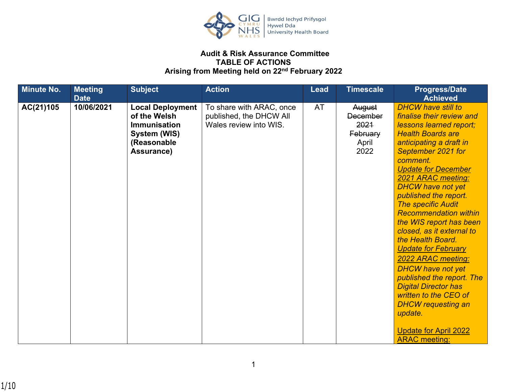

## **Audit & Risk Assurance Committee TABLE OF ACTIONS Arising from Meeting held on 22nd February 2022**

| <b>Minute No.</b> | <b>Meeting</b><br><b>Date</b> | <b>Subject</b>                                                                                              | <b>Action</b>                                                                 | <b>Lead</b> | <b>Timescale</b>                                               | <b>Progress/Date</b><br><b>Achieved</b>                                                                                                                                                                                                                                                                                                                                                                                                                                                                                                                                                                                                                                                     |
|-------------------|-------------------------------|-------------------------------------------------------------------------------------------------------------|-------------------------------------------------------------------------------|-------------|----------------------------------------------------------------|---------------------------------------------------------------------------------------------------------------------------------------------------------------------------------------------------------------------------------------------------------------------------------------------------------------------------------------------------------------------------------------------------------------------------------------------------------------------------------------------------------------------------------------------------------------------------------------------------------------------------------------------------------------------------------------------|
| AC(21)105         | 10/06/2021                    | <b>Local Deployment</b><br>of the Welsh<br><b>Immunisation</b><br>System (WIS)<br>(Reasonable<br>Assurance) | To share with ARAC, once<br>published, the DHCW All<br>Wales review into WIS. | <b>AT</b>   | August<br><b>December</b><br>2021<br>February<br>April<br>2022 | <b>DHCW have still to</b><br>finalise their review and<br>lessons learned report;<br><b>Health Boards are</b><br>anticipating a draft in<br>September 2021 for<br>comment.<br><b>Update for December</b><br>2021 ARAC meeting:<br><b>DHCW have not yet</b><br>published the report.<br><b>The specific Audit</b><br><b>Recommendation within</b><br>the WIS report has been<br>closed, as it external to<br>the Health Board.<br><b>Update for February</b><br>2022 ARAC meeting:<br><b>DHCW have not yet</b><br>published the report. The<br><b>Digital Director has</b><br>written to the CEO of<br><b>DHCW</b> requesting an<br>update.<br>Update for April 2022<br><b>ARAC</b> meeting: |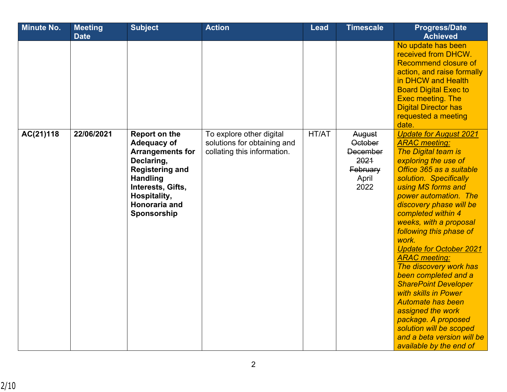| <b>Minute No.</b> | <b>Meeting</b><br><b>Date</b> | <b>Subject</b>                                                                                                                                                                                 | <b>Action</b>                                                                          | <b>Lead</b> | <b>Timescale</b>                                                                 | <b>Progress/Date</b><br><b>Achieved</b>                                                                                                                                                                                                                                                                                                                                                                                                                                                                                                                                                                                                                        |
|-------------------|-------------------------------|------------------------------------------------------------------------------------------------------------------------------------------------------------------------------------------------|----------------------------------------------------------------------------------------|-------------|----------------------------------------------------------------------------------|----------------------------------------------------------------------------------------------------------------------------------------------------------------------------------------------------------------------------------------------------------------------------------------------------------------------------------------------------------------------------------------------------------------------------------------------------------------------------------------------------------------------------------------------------------------------------------------------------------------------------------------------------------------|
|                   |                               |                                                                                                                                                                                                |                                                                                        |             |                                                                                  | No update has been<br>received from DHCW.<br>Recommend closure of<br>action, and raise formally<br>in DHCW and Health<br><b>Board Digital Exec to</b><br><b>Exec meeting. The</b><br><b>Digital Director has</b><br>requested a meeting<br>date.                                                                                                                                                                                                                                                                                                                                                                                                               |
| AC(21)118         | 22/06/2021                    | Report on the<br><b>Adequacy of</b><br><b>Arrangements for</b><br>Declaring,<br><b>Registering and</b><br><b>Handling</b><br>Interests, Gifts,<br>Hospitality,<br>Honoraria and<br>Sponsorship | To explore other digital<br>solutions for obtaining and<br>collating this information. | HT/AT       | August<br><b>October</b><br><b>December</b><br>2021<br>February<br>April<br>2022 | <b>Update for August 2021</b><br><b>ARAC</b> meeting:<br><b>The Digital team is</b><br>exploring the use of<br>Office 365 as a suitable<br>solution. Specifically<br>using MS forms and<br>power automation. The<br>discovery phase will be<br>completed within 4<br>weeks, with a proposal<br>following this phase of<br>work.<br><b>Update for October 2021</b><br><b>ARAC</b> meeting:<br>The discovery work has<br>been completed and a<br><b>SharePoint Developer</b><br>with skills in Power<br><b>Automate has been</b><br>assigned the work<br>package. A proposed<br>solution will be scoped<br>and a beta version will be<br>available by the end of |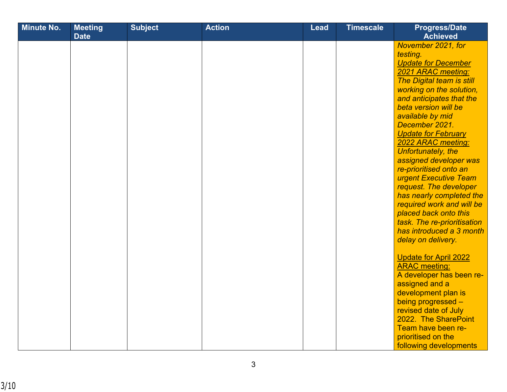| <b>Minute No.</b> | <b>Meeting</b> | <b>Subject</b> | <b>Action</b> | <b>Lead</b> | <b>Timescale</b> | <b>Progress/Date</b>         |
|-------------------|----------------|----------------|---------------|-------------|------------------|------------------------------|
|                   | <b>Date</b>    |                |               |             |                  | <b>Achieved</b>              |
|                   |                |                |               |             |                  | November 2021, for           |
|                   |                |                |               |             |                  | testing.                     |
|                   |                |                |               |             |                  | <b>Update for December</b>   |
|                   |                |                |               |             |                  | 2021 ARAC meeting:           |
|                   |                |                |               |             |                  | The Digital team is still    |
|                   |                |                |               |             |                  | working on the solution,     |
|                   |                |                |               |             |                  | and anticipates that the     |
|                   |                |                |               |             |                  | beta version will be         |
|                   |                |                |               |             |                  | available by mid             |
|                   |                |                |               |             |                  | December 2021.               |
|                   |                |                |               |             |                  | <b>Update for February</b>   |
|                   |                |                |               |             |                  | 2022 ARAC meeting:           |
|                   |                |                |               |             |                  | Unfortunately, the           |
|                   |                |                |               |             |                  | assigned developer was       |
|                   |                |                |               |             |                  | re-prioritised onto an       |
|                   |                |                |               |             |                  | urgent Executive Team        |
|                   |                |                |               |             |                  | request. The developer       |
|                   |                |                |               |             |                  | has nearly completed the     |
|                   |                |                |               |             |                  | required work and will be    |
|                   |                |                |               |             |                  | placed back onto this        |
|                   |                |                |               |             |                  | task. The re-prioritisation  |
|                   |                |                |               |             |                  | has introduced a 3 month     |
|                   |                |                |               |             |                  | delay on delivery.           |
|                   |                |                |               |             |                  | <b>Update for April 2022</b> |
|                   |                |                |               |             |                  | <b>ARAC</b> meeting:         |
|                   |                |                |               |             |                  | A developer has been re-     |
|                   |                |                |               |             |                  | assigned and a               |
|                   |                |                |               |             |                  | development plan is          |
|                   |                |                |               |             |                  | being progressed -           |
|                   |                |                |               |             |                  | revised date of July         |
|                   |                |                |               |             |                  | 2022. The SharePoint         |
|                   |                |                |               |             |                  | Team have been re-           |
|                   |                |                |               |             |                  | prioritised on the           |
|                   |                |                |               |             |                  | following developments       |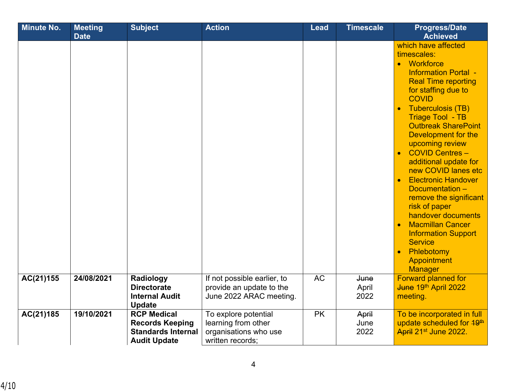| <b>Minute No.</b> | <b>Meeting</b><br><b>Date</b> | <b>Subject</b>                                                                                   | <b>Action</b>                                                                            | <b>Lead</b> | <b>Timescale</b>      | <b>Progress/Date</b><br><b>Achieved</b>                                                                                                                                                                                                                                                                                                                                                                                                                                                                                                                                                                                                                                   |
|-------------------|-------------------------------|--------------------------------------------------------------------------------------------------|------------------------------------------------------------------------------------------|-------------|-----------------------|---------------------------------------------------------------------------------------------------------------------------------------------------------------------------------------------------------------------------------------------------------------------------------------------------------------------------------------------------------------------------------------------------------------------------------------------------------------------------------------------------------------------------------------------------------------------------------------------------------------------------------------------------------------------------|
|                   |                               |                                                                                                  |                                                                                          |             |                       | which have affected<br>timescales:<br>Workforce<br>$\bullet$<br><b>Information Portal -</b><br><b>Real Time reporting</b><br>for staffing due to<br><b>COVID</b><br><b>Tuberculosis (TB)</b><br>$\bullet$<br><b>Triage Tool - TB</b><br><b>Outbreak SharePoint</b><br>Development for the<br>upcoming review<br><b>COVID Centres -</b><br>$\bullet$<br>additional update for<br>new COVID lanes etc<br><b>Electronic Handover</b><br>$\bullet$<br>Documentation -<br>remove the significant<br>risk of paper<br>handover documents<br><b>Macmillan Cancer</b><br><b>Information Support</b><br><b>Service</b><br>Phlebotomy<br>$\bullet$<br>Appointment<br><b>Manager</b> |
| AC(21)155         | 24/08/2021                    | Radiology<br><b>Directorate</b><br><b>Internal Audit</b><br><b>Update</b>                        | If not possible earlier, to<br>provide an update to the<br>June 2022 ARAC meeting.       | <b>AC</b>   | June<br>April<br>2022 | <b>Forward planned for</b><br>June 19th April 2022<br>meeting.                                                                                                                                                                                                                                                                                                                                                                                                                                                                                                                                                                                                            |
| AC(21)185         | 19/10/2021                    | <b>RCP Medical</b><br><b>Records Keeping</b><br><b>Standards Internal</b><br><b>Audit Update</b> | To explore potential<br>learning from other<br>organisations who use<br>written records: | <b>PK</b>   | April<br>June<br>2022 | To be incorporated in full<br>update scheduled for 49 <sup>th</sup><br>April 21 <sup>st</sup> June 2022.                                                                                                                                                                                                                                                                                                                                                                                                                                                                                                                                                                  |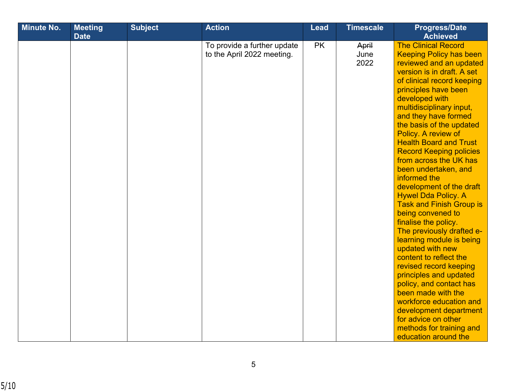| <b>Minute No.</b> | <b>Meeting</b><br><b>Date</b> | <b>Subject</b> | <b>Action</b>                                             | <b>Lead</b> | <b>Timescale</b>      | <b>Progress/Date</b><br><b>Achieved</b>                                                                                                                                                                                                                                                                                                                                                                                                                                                                                                                                                                                                                                                                                                                                                                                                                                                                                         |
|-------------------|-------------------------------|----------------|-----------------------------------------------------------|-------------|-----------------------|---------------------------------------------------------------------------------------------------------------------------------------------------------------------------------------------------------------------------------------------------------------------------------------------------------------------------------------------------------------------------------------------------------------------------------------------------------------------------------------------------------------------------------------------------------------------------------------------------------------------------------------------------------------------------------------------------------------------------------------------------------------------------------------------------------------------------------------------------------------------------------------------------------------------------------|
|                   |                               |                | To provide a further update<br>to the April 2022 meeting. | <b>PK</b>   | April<br>June<br>2022 | <b>The Clinical Record</b><br><b>Keeping Policy has been</b><br>reviewed and an updated<br>version is in draft. A set<br>of clinical record keeping<br>principles have been<br>developed with<br>multidisciplinary input,<br>and they have formed<br>the basis of the updated<br>Policy. A review of<br><b>Health Board and Trust</b><br><b>Record Keeping policies</b><br>from across the UK has<br>been undertaken, and<br>informed the<br>development of the draft<br><b>Hywel Dda Policy. A</b><br><b>Task and Finish Group is</b><br>being convened to<br>finalise the policy.<br>The previously drafted e-<br>learning module is being<br>updated with new<br>content to reflect the<br>revised record keeping<br>principles and updated<br>policy, and contact has<br>been made with the<br>workforce education and<br>development department<br>for advice on other<br>methods for training and<br>education around the |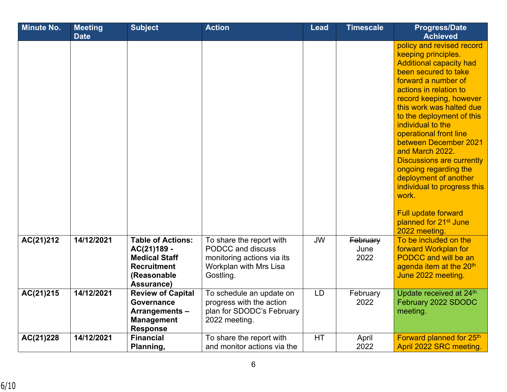| <b>Minute No.</b> | <b>Meeting</b> | <b>Subject</b>           | <b>Action</b>               | <b>Lead</b> | <b>Timescale</b> | <b>Progress/Date</b>                             |
|-------------------|----------------|--------------------------|-----------------------------|-------------|------------------|--------------------------------------------------|
|                   | <b>Date</b>    |                          |                             |             |                  | <b>Achieved</b>                                  |
|                   |                |                          |                             |             |                  | policy and revised record<br>keeping principles. |
|                   |                |                          |                             |             |                  | <b>Additional capacity had</b>                   |
|                   |                |                          |                             |             |                  | been secured to take                             |
|                   |                |                          |                             |             |                  | forward a number of                              |
|                   |                |                          |                             |             |                  | actions in relation to                           |
|                   |                |                          |                             |             |                  | record keeping, however                          |
|                   |                |                          |                             |             |                  | this work was halted due                         |
|                   |                |                          |                             |             |                  | to the deployment of this                        |
|                   |                |                          |                             |             |                  | individual to the                                |
|                   |                |                          |                             |             |                  | operational front line                           |
|                   |                |                          |                             |             |                  | between December 2021                            |
|                   |                |                          |                             |             |                  | and March 2022.                                  |
|                   |                |                          |                             |             |                  | <b>Discussions are currently</b>                 |
|                   |                |                          |                             |             |                  | ongoing regarding the                            |
|                   |                |                          |                             |             |                  | deployment of another                            |
|                   |                |                          |                             |             |                  | individual to progress this                      |
|                   |                |                          |                             |             |                  | work.                                            |
|                   |                |                          |                             |             |                  | <b>Full update forward</b>                       |
|                   |                |                          |                             |             |                  | planned for 21 <sup>st</sup> June                |
|                   |                |                          |                             |             |                  | 2022 meeting.                                    |
| AC(21)212         | 14/12/2021     | <b>Table of Actions:</b> | To share the report with    | <b>JW</b>   | February         | To be included on the                            |
|                   |                | AC(21)189 -              | PODCC and discuss           |             | June             | forward Workplan for                             |
|                   |                | <b>Medical Staff</b>     | monitoring actions via its  |             | 2022             | <b>PODCC</b> and will be an                      |
|                   |                | <b>Recruitment</b>       | Workplan with Mrs Lisa      |             |                  | agenda item at the 20 <sup>th</sup>              |
|                   |                | (Reasonable              | Gostling.                   |             |                  | June 2022 meeting.                               |
|                   |                | Assurance)               |                             |             |                  |                                                  |
| AC(21)215         | 14/12/2021     | <b>Review of Capital</b> | To schedule an update on    | <b>LD</b>   | February         | Update received at 24th                          |
|                   |                | Governance               | progress with the action    |             | 2022             | February 2022 SDODC                              |
|                   |                | Arrangements-            | plan for SDODC's February   |             |                  | meeting.                                         |
|                   |                | <b>Management</b>        | 2022 meeting.               |             |                  |                                                  |
|                   |                | <b>Response</b>          |                             |             |                  |                                                  |
| AC(21)228         | 14/12/2021     | <b>Financial</b>         | To share the report with    | HT.         | April            | Forward planned for 25th                         |
|                   |                | Planning,                | and monitor actions via the |             | 2022             | April 2022 SRC meeting.                          |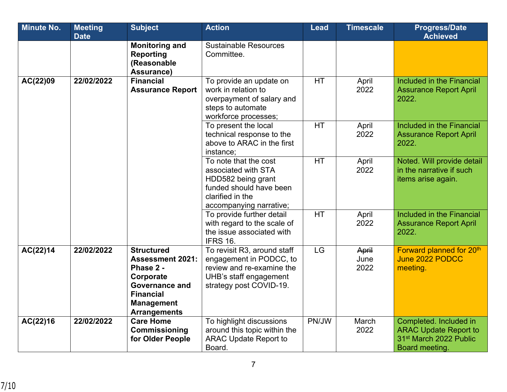| <b>Minute No.</b> | <b>Meeting</b> | <b>Subject</b>                                                                                                                                                  | <b>Action</b>                                                                                                                                | <b>Lead</b> | <b>Timescale</b>      | <b>Progress/Date</b>                                                                                           |
|-------------------|----------------|-----------------------------------------------------------------------------------------------------------------------------------------------------------------|----------------------------------------------------------------------------------------------------------------------------------------------|-------------|-----------------------|----------------------------------------------------------------------------------------------------------------|
|                   | <b>Date</b>    |                                                                                                                                                                 |                                                                                                                                              |             |                       | <b>Achieved</b>                                                                                                |
|                   |                | <b>Monitoring and</b><br><b>Reporting</b><br>(Reasonable<br>Assurance)                                                                                          | <b>Sustainable Resources</b><br>Committee.                                                                                                   |             |                       |                                                                                                                |
| AC(22)09          | 22/02/2022     | <b>Financial</b><br><b>Assurance Report</b>                                                                                                                     | To provide an update on<br>work in relation to<br>overpayment of salary and<br>steps to automate<br>workforce processes;                     | <b>HT</b>   | April<br>2022         | Included in the Financial<br><b>Assurance Report April</b><br>2022.                                            |
|                   |                |                                                                                                                                                                 | To present the local<br>technical response to the<br>above to ARAC in the first<br>instance;                                                 | <b>HT</b>   | April<br>2022         | Included in the Financial<br><b>Assurance Report April</b><br>2022.                                            |
|                   |                |                                                                                                                                                                 | To note that the cost<br>associated with STA<br>HDD582 being grant<br>funded should have been<br>clarified in the<br>accompanying narrative; | <b>HT</b>   | April<br>2022         | Noted. Will provide detail<br>in the narrative if such<br>items arise again.                                   |
|                   |                |                                                                                                                                                                 | To provide further detail<br>with regard to the scale of<br>the issue associated with<br><b>IFRS 16.</b>                                     | <b>HT</b>   | April<br>2022         | Included in the Financial<br><b>Assurance Report April</b><br>2022.                                            |
| AC(22)14          | 22/02/2022     | <b>Structured</b><br><b>Assessment 2021:</b><br>Phase 2 -<br>Corporate<br><b>Governance and</b><br><b>Financial</b><br><b>Management</b><br><b>Arrangements</b> | To revisit R3, around staff<br>engagement in PODCC, to<br>review and re-examine the<br>UHB's staff engagement<br>strategy post COVID-19.     | LG          | April<br>June<br>2022 | Forward planned for 20th<br>June 2022 PODCC<br>meeting.                                                        |
| AC(22)16          | 22/02/2022     | <b>Care Home</b><br>Commissioning<br>for Older People                                                                                                           | To highlight discussions<br>around this topic within the<br><b>ARAC Update Report to</b><br>Board.                                           | PN/JW       | March<br>2022         | Completed. Included in<br><b>ARAC Update Report to</b><br>31 <sup>st</sup> March 2022 Public<br>Board meeting. |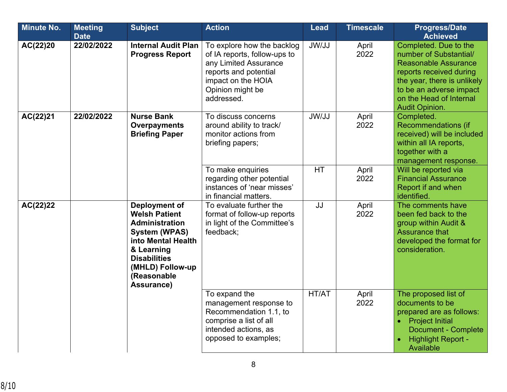| <b>Minute No.</b> | <b>Meeting</b><br><b>Date</b> | <b>Subject</b>                                                                                                                                                                                            | <b>Action</b>                                                                                                                                                        | <b>Lead</b> | <b>Timescale</b> | <b>Progress/Date</b><br><b>Achieved</b>                                                                                                                                                                                 |
|-------------------|-------------------------------|-----------------------------------------------------------------------------------------------------------------------------------------------------------------------------------------------------------|----------------------------------------------------------------------------------------------------------------------------------------------------------------------|-------------|------------------|-------------------------------------------------------------------------------------------------------------------------------------------------------------------------------------------------------------------------|
| AC(22)20          | 22/02/2022                    | <b>Internal Audit Plan</b><br><b>Progress Report</b>                                                                                                                                                      | To explore how the backlog<br>of IA reports, follow-ups to<br>any Limited Assurance<br>reports and potential<br>impact on the HOIA<br>Opinion might be<br>addressed. | JW/JJ       | April<br>2022    | Completed. Due to the<br>number of Substantial/<br><b>Reasonable Assurance</b><br>reports received during<br>the year, there is unlikely<br>to be an adverse impact<br>on the Head of Internal<br><b>Audit Opinion.</b> |
| AC(22)21          | 22/02/2022                    | <b>Nurse Bank</b><br>Overpayments<br><b>Briefing Paper</b>                                                                                                                                                | To discuss concerns<br>around ability to track/<br>monitor actions from<br>briefing papers;                                                                          | JW/JJ       | April<br>2022    | Completed.<br><b>Recommendations (if</b><br>received) will be included<br>within all IA reports,<br>together with a<br>management response.                                                                             |
|                   |                               |                                                                                                                                                                                                           | To make enquiries<br>regarding other potential<br>instances of 'near misses'<br>in financial matters.                                                                | <b>HT</b>   | April<br>2022    | Will be reported via<br><b>Financial Assurance</b><br>Report if and when<br>identified.                                                                                                                                 |
| AC(22)22          |                               | <b>Deployment of</b><br><b>Welsh Patient</b><br><b>Administration</b><br><b>System (WPAS)</b><br>into Mental Health<br>& Learning<br><b>Disabilities</b><br>(MHLD) Follow-up<br>(Reasonable<br>Assurance) | To evaluate further the<br>format of follow-up reports<br>in light of the Committee's<br>feedback;                                                                   | JJ          | April<br>2022    | The comments have<br>been fed back to the<br>group within Audit &<br><b>Assurance that</b><br>developed the format for<br>consideration.                                                                                |
|                   |                               |                                                                                                                                                                                                           | To expand the<br>management response to<br>Recommendation 1.1, to<br>comprise a list of all<br>intended actions, as<br>opposed to examples;                          | HT/AT       | April<br>2022    | The proposed list of<br>documents to be<br>prepared are as follows:<br><b>Project Initial</b><br>$\bullet$<br><b>Document - Complete</b><br><b>Highlight Report -</b><br>Available                                      |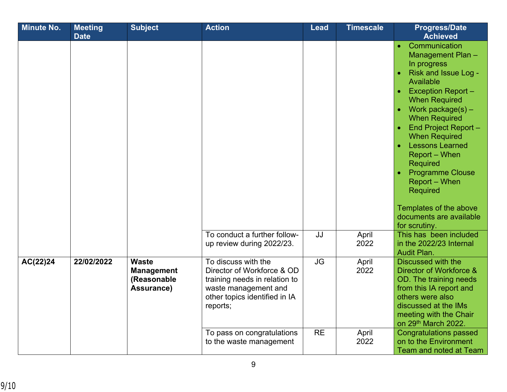| <b>Minute No.</b> | <b>Meeting</b><br><b>Date</b> | <b>Subject</b>                                                 | <b>Action</b>                                                                                                                                                                                                    | <b>Lead</b>            | <b>Timescale</b>               | <b>Progress/Date</b><br><b>Achieved</b>                                                                                                                                                                                                                                                                                                                                                                                                                                                                                                                                              |
|-------------------|-------------------------------|----------------------------------------------------------------|------------------------------------------------------------------------------------------------------------------------------------------------------------------------------------------------------------------|------------------------|--------------------------------|--------------------------------------------------------------------------------------------------------------------------------------------------------------------------------------------------------------------------------------------------------------------------------------------------------------------------------------------------------------------------------------------------------------------------------------------------------------------------------------------------------------------------------------------------------------------------------------|
|                   |                               |                                                                | To conduct a further follow-<br>up review during 2022/23.                                                                                                                                                        | JJ                     | April<br>2022                  | Communication<br>$\bullet$<br>Management Plan -<br>In progress<br>Risk and Issue Log -<br>$\bullet$<br>Available<br><b>Exception Report-</b><br>$\bullet$<br><b>When Required</b><br>Work package(s) -<br>$\bullet$<br><b>When Required</b><br><b>End Project Report -</b><br>$\bullet$<br><b>When Required</b><br><b>Lessons Learned</b><br>$\bullet$<br>Report - When<br><b>Required</b><br><b>Programme Clouse</b><br>Report – When<br><b>Required</b><br>Templates of the above<br>documents are available<br>for scrutiny.<br>This has been included<br>in the 2022/23 Internal |
| AC(22)24          | 22/02/2022                    | <b>Waste</b><br><b>Management</b><br>(Reasonable<br>Assurance) | To discuss with the<br>Director of Workforce & OD<br>training needs in relation to<br>waste management and<br>other topics identified in IA<br>reports;<br>To pass on congratulations<br>to the waste management | <b>JG</b><br><b>RE</b> | April<br>2022<br>April<br>2022 | <b>Audit Plan.</b><br><b>Discussed with the</b><br>Director of Workforce &<br>OD. The training needs<br>from this IA report and<br>others were also<br>discussed at the IMs<br>meeting with the Chair<br>on 29th March 2022.<br><b>Congratulations passed</b><br>on to the Environment<br>Team and noted at Team                                                                                                                                                                                                                                                                     |